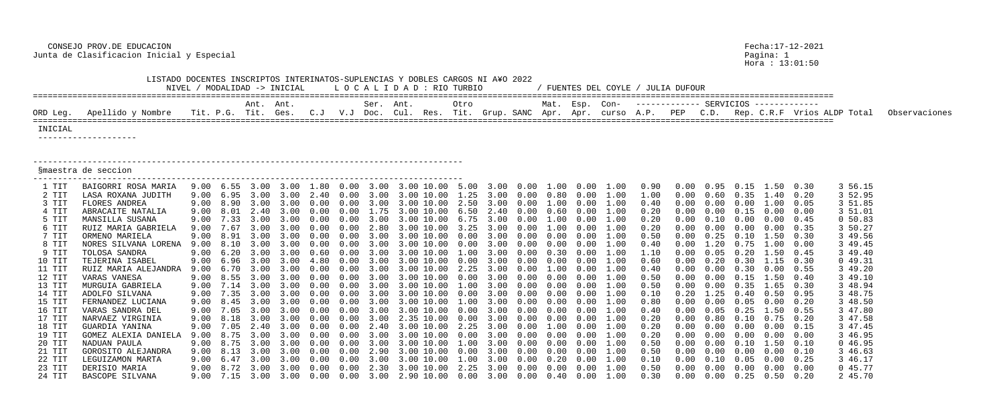CONSEJO PROV.DE EDUCACION Fecha:17-12-2021 Junta de Clasificacion Inicial y Especial Pagina: 1

|          | LISTADO DOCENTES INSCRIPTOS INTERINATOS-SUPLENCIAS Y DOBLES CARGOS NI A¥O 2022 |      |                     |           | NIVEL / MODALIDAD -> INICIAL |      |                 | LOCALIDAD : RIO TURBIO |            |                                   |      |             |      |                | FUENTES DEL COYLE /                                                           |      | JULIA DUFOUR |      |                   |                                    |      |                             |               |
|----------|--------------------------------------------------------------------------------|------|---------------------|-----------|------------------------------|------|-----------------|------------------------|------------|-----------------------------------|------|-------------|------|----------------|-------------------------------------------------------------------------------|------|--------------|------|-------------------|------------------------------------|------|-----------------------------|---------------|
| ORD Leg. | Apellido y Nombre                                                              |      | Tit. P.G. Tit. Ges. | Ant. Ant. |                              | C. J | $V\centerdot J$ | Ser. Ant.<br>Doc.      |            | Otro<br>Cul. Res. Tit. Grup. SANC |      |             |      | Mat. Esp. Con- |                                                                               | A.P. | PEP          | C.D. |                   |                                    |      | Rep. C.R.F Vrios ALDP Total | Observaciones |
|          |                                                                                |      |                     |           |                              |      |                 |                        |            |                                   |      |             | Apr. | Apr.           | curso                                                                         |      |              |      |                   |                                    |      |                             |               |
| INICIAL  |                                                                                |      |                     |           |                              |      |                 |                        |            |                                   |      |             |      |                |                                                                               |      |              |      |                   |                                    |      |                             |               |
|          | ____________________                                                           |      |                     |           |                              |      |                 |                        |            |                                   |      |             |      |                |                                                                               |      |              |      |                   |                                    |      |                             |               |
|          | Smaestra de seccion                                                            |      |                     |           |                              |      |                 |                        |            |                                   |      |             |      |                |                                                                               |      |              |      |                   |                                    |      |                             |               |
| 1 TIT    | BAIGORRI ROSA MARIA                                                            | 9.00 | 6.55                | 3.00      | 3.00                         | 1.80 | 0.00            | 3.00                   |            | 3.00 10.00 5.00                   | 3.00 | $0\,.\,00$  |      | 1.00 0.00      | 1.00                                                                          | 0.90 |              |      |                   | 1.50                               | 0.30 | 3 56.15                     |               |
| 2 TIT    | LASA ROXANA JUDITH                                                             | 9.00 | 6.95                | 3.00      | 3.00                         |      |                 |                        | 10.00      | 1.25                              | 3.00 | 0.00        | 0.80 | 0.00           | 1.00                                                                          | 1.00 |              | 0.60 | 0.35              | 1.40                               | 0.20 | 3 52.95                     |               |
| 3 TIT    | FLORES ANDREA                                                                  | 9.00 | 8.90                | 3.00      |                              |      |                 |                        | 3.00 10.00 | 2.50                              | 3.00 | 0.00        | 1.00 |                | 1.00                                                                          | 0.40 |              |      | $(1 \cdot 0)$     | 1.00                               | 0.05 | 3 51.85                     |               |
| 4 TIT    | ABRACAITE NATALIA                                                              | 9.00 |                     |           |                              |      |                 |                        | 10.00      | 6.50                              |      |             |      |                |                                                                               | 0.20 |              |      |                   | 0.00                               | 0.00 | 3 51.01                     |               |
| 5 TIT    | MANSILLA SUSANA                                                                | 9.00 | 7.33                | 3.00      |                              |      |                 |                        | 10.00      | 6.75                              |      |             |      |                | 1.00                                                                          | 0.20 |              |      | 0.00              | 0.00                               | 0.45 | 0 50.83                     |               |
| 6 TIT    | RUIZ MARIA GABRIELA                                                            | 9.00 |                     | 3.00      |                              |      |                 |                        | 3.00 10.00 |                                   |      |             |      |                |                                                                               | 0.20 |              |      | (0.00)            | 0.00                               | 0.35 | 3 50.27                     |               |
| 7 TIT    | ORMENO MARIELA                                                                 |      |                     |           |                              |      |                 |                        | 10.00      | n nn                              |      |             |      |                |                                                                               | 0.50 |              |      |                   | 1.50                               | 0.30 | 3 49.56                     |               |
| 8 TIT    | NORES SILVANA LORENA                                                           | 9.00 |                     |           |                              |      |                 |                        | 10.00      | $(1 \cdot 0)$                     |      |             |      |                | 1.00                                                                          | 0.40 |              |      |                   | .00                                | 0.00 | 3 49.45                     |               |
| 9 TIT    | TOLOSA SANDRA                                                                  | 9.00 |                     | 3.00      |                              |      |                 |                        | 3.00 10.00 | 1.00                              |      | 0.00        | 0.30 |                |                                                                               | 1.10 |              | 0.05 | $0\,.20$          | 1.50                               | 0.45 | 3 49.40                     |               |
| 10 TIT   | TEJERINA ISABEL                                                                | 9.00 | 6.96                |           |                              |      |                 |                        | 10.00      | 0.00                              |      |             |      |                | 1.00                                                                          | 0.60 |              |      | . 30              | 1.15                               | 0.30 | 049.31                      |               |
| 11 TIT   | RUIZ MARIA ALEJANDRA                                                           | 9.00 |                     |           |                              |      |                 |                        | 10.00      |                                   |      |             |      |                | 1.00                                                                          | 0.40 |              |      | 0.30              | 0.00                               | 0.55 | 3 49.20                     |               |
| 12 TIT   | VARAS VANESA                                                                   |      | 8.55                | 3.00      |                              |      |                 |                        | 3.00 10.00 | 0.00                              |      |             | 0.00 |                |                                                                               | 0.50 |              |      | 0.15              | 1.50                               | 0.40 | 3 49.10                     |               |
| 13 TIT   | MURGUIA GABRIELA                                                               | 9.00 | 7.14                | 3.00      | 3.00                         |      |                 |                        | 10.00      | .00                               | 3.00 | $.00 \cdot$ | 0.00 |                | 1.00                                                                          | 0.50 |              |      | . 35              | .65                                | 0.30 | 3 48.94                     |               |
| 14 TIT   | ADOLFO SILVANA                                                                 | 9.00 | 7.35                | 3.00      | 3.00                         |      |                 |                        | 10.00      | 0.00                              |      |             |      |                | 1.00                                                                          | 0.10 |              | 1.25 |                   | 0.50                               | 0.95 | 3 48.75                     |               |
| 15 TIT   | FERNANDEZ LUCIANA                                                              | 9.00 | 8.45                | 3.00      | 3.00                         | 0.00 | 0.00            | 3.00                   | 3.00 10.00 | $1\,.\,00$                        | 3.00 | 0.00        | 0.00 |                | 1.00                                                                          | 0.80 |              |      | $0.00 \quad 0.05$ | $0\,.\,00$                         | 0.20 | 3 48.50                     |               |
| 16 TIT   | VARAS SANDRA DEL                                                               |      |                     |           |                              |      |                 |                        |            |                                   |      |             |      |                | 1.00                                                                          | 0.40 |              |      | $0.05 \quad 0.25$ | 1.50                               | 0.55 | 3 47.80                     |               |
| 17 TIT   | NARVAEZ VIRGINIA                                                               |      |                     |           |                              |      |                 |                        |            |                                   |      |             |      |                | 9.00 8.18 3.00 3.00 0.00 0.00 3.00 2.35 10.00 0.00 3.00 0.00 0.00 0.00 1.00   | 0.20 | $0\,.\,00$   |      |                   | $0.80$ $0.10$ $0.75$ $0.20$        |      | 3 47.58                     |               |
| 18 TIT   | GUARDIA YANINA                                                                 |      |                     |           |                              |      |                 |                        |            |                                   |      |             |      |                | 9.00 7.05 2.40 3.00 0.00 0.00 2.40 3.00 10.00 2.25 3.00 0.00 1.00 0.00 1.00   | 0.20 | 0.00         |      |                   | $0.00$ $0.00$ $0.00$ $0.15$        |      | 3 47.45                     |               |
| 19 TIT   | GOMEZ ALEXIA DANIELA                                                           |      |                     |           |                              |      |                 |                        |            |                                   |      |             |      |                |                                                                               | 0.20 | 0.00         |      |                   | $0.00 \t 0.00 \t 0.00 \t 0.00$     |      | 3 46.95                     |               |
| 20 TIT   | NADUAN PAULA                                                                   |      |                     |           |                              |      |                 |                        |            |                                   |      |             |      |                |                                                                               | 0.50 | 0.00         |      |                   | $0.00 \t 0.10 \t 1.50 \t 0.10$     |      | 046.95                      |               |
| 21 TIT   | GOROSITO ALEJANDRA                                                             |      |                     |           |                              |      |                 |                        |            |                                   |      |             |      |                | 9.00 8.13 3.00 3.00 0.00 0.00 2.90 3.00 10.00 0.00 3.00 0.00 0.00 0.00 1.00   | 0.50 | 0.00         |      |                   | $0.00$ $0.00$ $0.00$ $0.10$        |      | 3 46.63                     |               |
| 22 TIT   | LEGUIZAMON MARTA                                                               |      |                     |           |                              |      |                 |                        |            |                                   |      |             |      |                |                                                                               | 0.10 | 0.00         |      |                   | $0.10$ $0.05$ $0.00$ $0.25$        |      | 3 46.17                     |               |
| 23 TIT   | DERISIO MARIA                                                                  |      |                     |           |                              |      |                 |                        |            |                                   |      |             |      |                | $9.00$ 8.72 3.00 3.00 0.00 0.00 2.30 3.00 10.00 2.25 3.00 0.00 0.00 0.00 1.00 | 0.50 | 0.00         |      |                   | $0.00 \t 0.00 \t 0.00 \t 0.00$     |      | 0 45.77                     |               |
| 24 TIT   | BASCOPE SILVANA                                                                |      |                     |           |                              |      |                 |                        |            |                                   |      |             |      |                | 9.00 7.15 3.00 3.00 0.00 0.00 3.00 2.90 10.00 0.00 3.00 0.00 0.40 0.00 1.00   | 0.30 |              |      |                   | $0.00$ $0.00$ $0.25$ $0.50$ $0.20$ |      | 2 45.70                     |               |

Pagina: 1<br>Hora : 13:01:50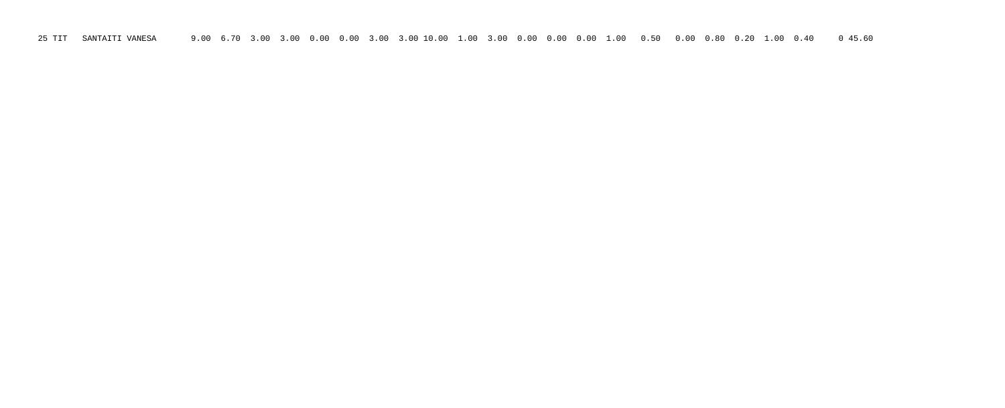25 TIT SANTAITI VANESA 9.00 6.70 3.00 3.00 0.00 0.00 3.00 3.00 10.00 1.00 3.00 0.00 0.00 0.00 1.00 0.50 0.00 0.80 0.20 1.00 0.40 0 45.60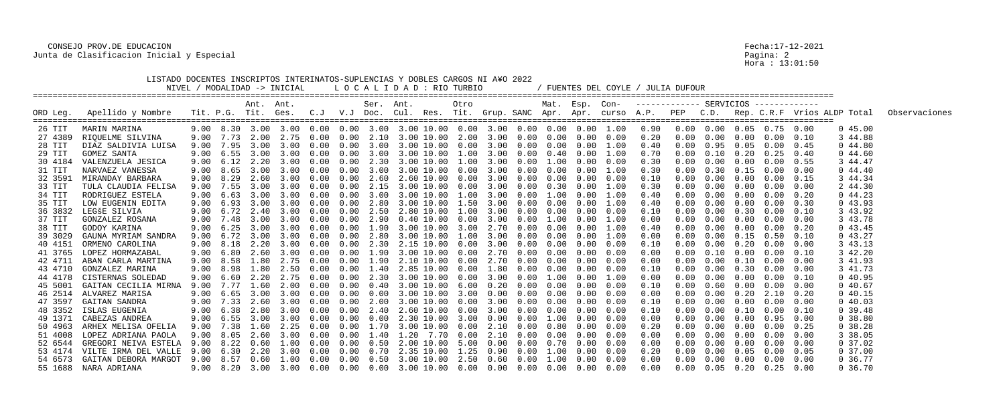## CONSEJO PROV.DE EDUCACION Fecha:17-12-2021 Junta de Clasificacion Inicial y Especial Pagina: 2

| LISTADO DOCENTES INSCRIPTOS INTERINATOS-SUPLENCIAS Y DOBLES CARGOS NI A¥O 2022<br>LOCALIDAD : RIO TURBIO<br>NIVEL / MODALIDAD -> INICIAL<br>/ FUENTES DEL COYLE / JULIA DUFOUR<br>Mat. Esp. Con- ------------ SERVICIOS ------------<br>Ser. Ant.<br>Ant. Ant. |                              |      |      |           |                     |        |               |               |                                                                                          |  |      |      |               |               |      |      |      |            |                   |                   |                                        |      |                                                                                                                      |               |
|----------------------------------------------------------------------------------------------------------------------------------------------------------------------------------------------------------------------------------------------------------------|------------------------------|------|------|-----------|---------------------|--------|---------------|---------------|------------------------------------------------------------------------------------------|--|------|------|---------------|---------------|------|------|------|------------|-------------------|-------------------|----------------------------------------|------|----------------------------------------------------------------------------------------------------------------------|---------------|
| ORD Leg.                                                                                                                                                                                                                                                       | Apellido y Nombre            |      |      |           |                     |        |               |               |                                                                                          |  | Otro |      |               |               |      |      |      |            |                   |                   |                                        |      | Tit. P.G. Tit. Ges. C.J V.J Doc. Cul. Res. Tit. Grup. SANC Apr. Apr. curso A.P. PEP C.D. Rep. C.R.F Vrios ALDP Total | Observaciones |
| 26 TIT                                                                                                                                                                                                                                                         | MARIN MARINA                 |      |      |           |                     |        |               |               |                                                                                          |  |      |      |               |               |      |      | 0.90 |            |                   |                   | $0.00$ $0.00$ $0.05$ $0.75$ $0.00$     |      | 045.00                                                                                                               |               |
| 27 4389                                                                                                                                                                                                                                                        | RIQUELME SILVINA             | 9.00 |      |           | 7.73 2.00 2.75 0.00 |        |               | $0.00$ $2.10$ | 3.00 10.00 2.00 3.00 0.00 0.00 0.00 0.00                                                 |  |      |      |               |               |      |      | 0.20 | 0.00       | $0.00 \quad 0.00$ |                   | 0.00                                   | 0.10 | 3 44.88                                                                                                              |               |
| 28 TIT                                                                                                                                                                                                                                                         | DIAZ SALDIVIA LUISA          | 9.00 | 7.95 | 3.00      | 3.00                | 0.00   | 0.00          | 3.00          | 3.00 10.00 0.00                                                                          |  |      | 3.00 | 0.00          | $0.00$ $0.00$ |      | 1.00 | 0.40 |            | 0.95              | 0.05              | 0.00                                   | 0.45 | 044.80                                                                                                               |               |
| 29 TIT                                                                                                                                                                                                                                                         | GOMEZ SANTA                  | 9.00 | 6.55 |           | 3.00 3.00           | 0.00   | 0.00          | 3.00          | 3.00 10.00 1.00                                                                          |  |      | 3.00 | 0.00          | 0.40          | 0.00 | 1.00 | 0.70 | 0.00       | 0.10              | $0\,.20$          | 0.25                                   | 0.40 | 044.60                                                                                                               |               |
| 30 4184                                                                                                                                                                                                                                                        | VALENZUELA JESICA            | 9.00 | 6.12 |           | 2.20 3.00           | 0.00   | $0\,.\,00$    | 2.30          | 3.00 10.00 1.00                                                                          |  |      | 3.00 | 0.00          | $1\,.\,00$    | 0.00 | 0.00 | 0.30 |            |                   | $0.00 \quad 0.00$ | 0.00                                   | 0.55 | 3 44.47                                                                                                              |               |
| 31 TIT                                                                                                                                                                                                                                                         | NARVAEZ VANESSA              | 9.00 |      | 3.00      | 3.00                |        | 0.00          | 3.00          | 3.00 10.00                                                                               |  | 0.00 | 3.00 | 0.00          | 0.00          | 0.00 | 1.00 | 0.30 |            | 0.30              | 0.15              | 0.00                                   | 0.00 | 044.40                                                                                                               |               |
| 32 3591                                                                                                                                                                                                                                                        | MIRANDAY BARBARA             | 9.00 | 8.29 | 2.60      | 3.00                | (0.00) | 0.00          | 2.60          | 2.60 10.00 0.00                                                                          |  |      | 3.00 | 0.00          | 0.00          | 0.00 | 0.00 | 0.10 |            | 0.00              | 0.00              | 0.00                                   | 0.15 | 3 44.34                                                                                                              |               |
| 33 TIT                                                                                                                                                                                                                                                         | TULA CLAUDIA FELISA          | 9.00 | 7.55 |           | 3.00 3.00           | 0.00   | 0.00          | 2.15          | 3.00 10.00 0.00                                                                          |  |      | 3.00 | 0.00          | 0.30          | 0.00 | 1.00 | 0.30 |            | 0.00              | 0.00              | $0\,.\,00$                             | 0.00 | 2 44.30                                                                                                              |               |
| 34 TIT                                                                                                                                                                                                                                                         | RODRIGUEZ ESTELA             |      | 6.63 | 3.00      | 3.00                |        | 0.00          | 3.00          | 3.00 10.00                                                                               |  | 1.00 | 3.00 | 0.00          | 1.00          | 0.00 | 1.00 | 0.40 |            | 0.00              | (0.00)            | 0.00                                   | 0.20 | 044.23                                                                                                               |               |
| 35 TIT                                                                                                                                                                                                                                                         | LOW EUGENIN EDITA            | 9.00 | 6.93 | 3.00      | 3.00                | (1.00) | 0.00          | 2.80          | 3.00 10.00                                                                               |  | 1.50 | 3.00 | 0.00          | 0.00          | 0.00 | 1.00 | 0.40 |            | 0.00              | 0.00              | 0.00                                   | 0.30 | 043.93                                                                                                               |               |
| 36 3832                                                                                                                                                                                                                                                        | LEGŠE SILVIA                 | 9.00 |      | 6.72 2.40 | 3.00                | (0.00) | 0.00          | 2.50          | 2.80 10.00 1.00                                                                          |  |      | 3.00 | 0.00          | 0.00          | 0.00 | 0.00 | 0.10 |            | 0.00              | 0.30              | 0.00                                   | 0.10 | 3 43.92                                                                                                              |               |
| 37 TIT                                                                                                                                                                                                                                                         | GONZALEZ ROSANA              | 9.00 | 7.48 | 3.00      | 3.00                |        | (0.00)        | 2.90          | $0.40\;10.00$                                                                            |  | 0.00 | 3.00 | 0.00          | 1.00          | 0.00 | 1.00 | 0.00 |            | 0.00              | 0.00              | 0.00                                   | 0.00 | 3 43.78                                                                                                              |               |
| 38 TIT                                                                                                                                                                                                                                                         | GODOY KARINA                 | 9.00 | 6.25 | 3.00      | 3.00                | 0.00   | 0.00          | 1.90          | 3.00 10.00 3.00                                                                          |  |      | 2.70 | 0.00          | 0.00          | 0.00 | 1.00 | 0.40 |            | 0.00              | 0.00              | 0.00                                   | 0.20 | 043.45                                                                                                               |               |
| 39 3029                                                                                                                                                                                                                                                        | GAUNA MYRIAM SANDRA          | 9.00 | 6.72 |           | 3.00 3.00           | (1.00) | 0.00          | 2.80          | 3.00 10.00 1.00                                                                          |  |      | 3.00 | 0.00          | 0.00          | 0.00 | 1.00 | 0.00 |            |                   | $0.00 \quad 0.15$ | 0.50                                   | 0.10 | 043.27                                                                                                               |               |
| 40 4151                                                                                                                                                                                                                                                        | ORMENO CAROLINA              | 9.00 | 8.18 | 2.20      | 3.00                | (1.00) | (0.00)        | 2.30          | 2.15 10.00                                                                               |  | 0.00 | 3.00 | (1.00)        | 0.00          | 0.00 | 0.00 | 0.10 |            | 0.00              | 0.20              | 0.00                                   | 0.00 | 3 43.13                                                                                                              |               |
| 41 3765                                                                                                                                                                                                                                                        | LOPEZ HORMAZABAL             | 9.00 | 6.80 | 2.60      | 3.00                | 0.00   | 0.00          | 1.90          | 3.00 10.00 0.00                                                                          |  |      | 2.70 | 0.00          | 0.00          | 0.00 | 0.00 | 0.00 |            | 0.10              | 0.00              | 0.00                                   | 0.10 | 3 42.20                                                                                                              |               |
| 42 4711                                                                                                                                                                                                                                                        | ABAN CARLA MARTINA           | 9.00 | 8.58 | 1.80      | 2.75                | 0.00   | 0.00          | 1.90          | 2.10 10.00 0.00                                                                          |  |      | 2.70 | 0.00          | 0.00          | 0.00 | 0.00 | 0.00 |            |                   | $0.00 \quad 0.10$ | 0.00                                   | 0.00 | 3 41.93                                                                                                              |               |
| 43 4710                                                                                                                                                                                                                                                        | GONZALEZ MARINA              |      | 8.98 | 1.80      | 2.50                |        | $(1 \cdot 0)$ | .40           | 2.85 10.00                                                                               |  | 0.00 | 1.80 | $(1 \cdot 0)$ | 0.00          | 0.00 | 0.00 | 0.10 |            | 0.00              | 0.30              | 0.00                                   | 0.00 | 3 41.73                                                                                                              |               |
| 44 4178                                                                                                                                                                                                                                                        | CISTERNAS SOLEDAD            | 9.00 |      | 2.20      | 2.75                | (1.00) | 0.00          | 2.30          | 3.00 10.00                                                                               |  | 0.00 | 3.00 | 0.00          | 1.00          | 0.00 | 1.00 | 0.00 |            | 0.00              | 0.00              | 0.00                                   | 0.10 | 040.95                                                                                                               |               |
| 45 5001                                                                                                                                                                                                                                                        | GAITAN CECILIA MIRNA         | 9.00 |      | 1.60      | 2.00                | 0.00   | 0.00          | 0.40          | 3.00 10.00 6.00                                                                          |  |      | 0.20 | 0.00          | 0.00          | 0.00 | 0.00 | 0.10 |            |                   | $0.60 \quad 0.00$ | $0\,.\,00$                             | 0.00 | 040.67                                                                                                               |               |
| 46 2514                                                                                                                                                                                                                                                        | ALVAREZ MARISA               | 9.00 | 6.65 | 3.00      | 3.00                | (1.00) | 0.00          | 0.00          | 3.00 10.00                                                                               |  | 3.00 | 0.00 | 0.00          | 0.00          | 0.00 | 0.00 | 0.00 |            | 0.00              | 0.20              | 2.10                                   | 0.20 | 040.15                                                                                                               |               |
| 47 3597                                                                                                                                                                                                                                                        | GAITAN SANDRA                | 9.00 | 7.33 |           | 2.60 3.00           | 0.00   | 0.00          | 2.00          | 3.00 10.00 0.00                                                                          |  |      | 3.00 | $0\,.\,00$    | $0\,.\,00$    | 0.00 | 0.00 | 0.10 |            | 0.00              | 0.00              | 0.00                                   | 0.00 | 040.03                                                                                                               |               |
|                                                                                                                                                                                                                                                                | 48 3352 ISLAS EUGENIA        |      |      |           |                     |        |               |               | 9.00 6.38 2.80 3.00 0.00 0.00 2.40 2.60 10.00 0.00 3.00 0.00 0.00 0.00 0.00              |  |      |      |               |               |      |      | 0.10 | 0.00       |                   |                   | $0.00$ $0.10$ $0.00$ $0.10$            |      | 0.39.48                                                                                                              |               |
| 49 1371                                                                                                                                                                                                                                                        | CABEZAS ANDREA               |      |      |           |                     |        |               |               | 9.00 6.55 3.00 3.00 0.00 0.00 0.00 2.30 10.00 3.00 0.00 0.00 1.00 0.00                   |  |      |      |               |               |      | 0.00 | 0.00 | 0.00       |                   |                   | $0.00 \t 0.00 \t 0.95 \t 0.00$         |      | 0, 38.80                                                                                                             |               |
| 50 4963                                                                                                                                                                                                                                                        | ARHEX MELISA OFELIA          |      |      |           |                     |        |               |               | $9.00$ 7.38 1.60 2.25 0.00 0.00 1.70 3.00 10.00 0.00 2.10 0.00 0.80 0.00                 |  |      |      |               |               |      | 0.00 | 0.20 | 0.00       |                   |                   | $0.00 \t 0.00 \t 0.00$                 | 0.25 | 0.38.28                                                                                                              |               |
|                                                                                                                                                                                                                                                                | 51 4008 LOPEZ ADRIANA PAOLA  |      |      |           |                     |        |               |               | $9.00$ 8.05 2.60 3.00 0.00 0.00 1.40 1.20 7.70 0.00 2.10 0.00 0.00 0.00 0.00             |  |      |      |               |               |      |      | 0.00 | $0\,.\,00$ |                   |                   | $0.00 \t 0.00 \t 0.00 \t 0.00$         |      | 3 38.05                                                                                                              |               |
| 52 6544                                                                                                                                                                                                                                                        | GREGORI NEIVA ESTELA         |      |      |           |                     |        |               |               | $9.00$ 8.22 0.60 1.00 0.00 0.00 0.50 2.00 10.00 5.00 0.00 0.00 0.70 0.00                 |  |      |      |               |               |      | 0.00 | 0.00 | 0.00       |                   |                   | $0.00 \t 0.00 \t 0.00 \t 0.00$         |      | $0\,37.02$                                                                                                           |               |
| 53 4174                                                                                                                                                                                                                                                        | VILTE IRMA DEL VALLE         |      |      |           |                     |        |               |               | 9.00 6.30 2.20 3.00 0.00 0.00 0.70 2.35 10.00 1.25 0.90 0.00 1.00 0.00                   |  |      |      |               |               |      | 0.00 | 0.20 | 0.00       |                   | $0.00 \quad 0.05$ | 0.00                                   | 0.05 | 0, 37.00                                                                                                             |               |
|                                                                                                                                                                                                                                                                | 54 6573 GAITAN DEBORA MARGOT |      |      |           |                     |        |               |               | 9.00 8.57  0.60  1.00  0.00  0.00  0.50  3.00  10.00  2.50  0.60  0.00  1.00  0.00  0.00 |  |      |      |               |               |      |      | 0.00 |            |                   |                   | $0.00 \t 0.00 \t 0.00 \t 0.00 \t 0.00$ |      | 0 36.77                                                                                                              |               |
|                                                                                                                                                                                                                                                                | 55 1688 NARA ADRIANA         |      |      |           |                     |        |               |               |                                                                                          |  |      |      |               |               |      |      | 0.00 |            |                   |                   | $0.00$ $0.05$ $0.20$ $0.25$ $0.00$     |      | 0, 36.70                                                                                                             |               |

Pagina: 2<br>Hora : 13:01:50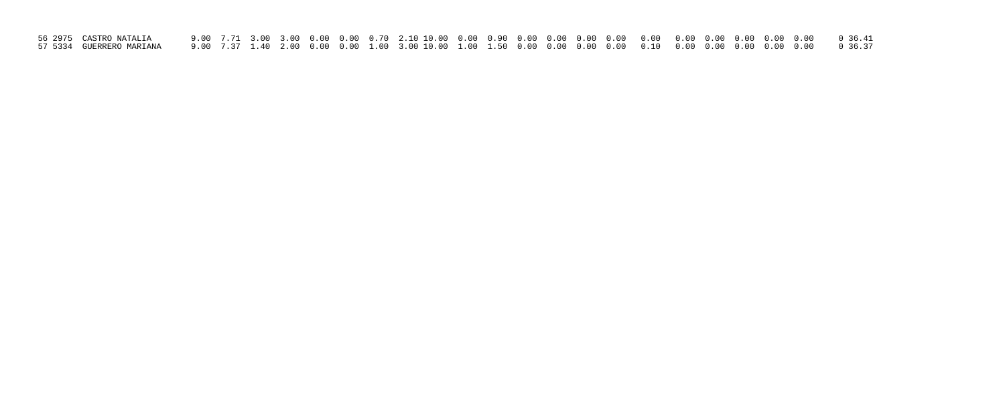| 56 2975  CASTRO NATALIA |  |  |  |  |  |  |  |  |  |  |
|-------------------------|--|--|--|--|--|--|--|--|--|--|
|                         |  |  |  |  |  |  |  |  |  |  |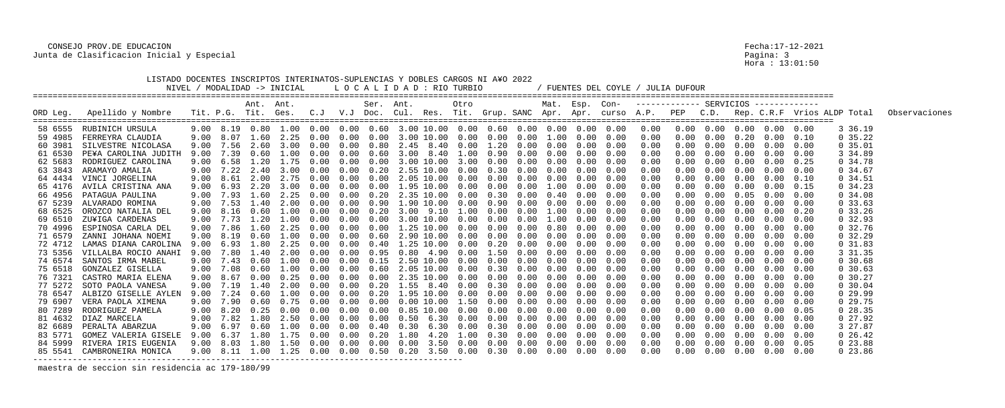## CONSEJO PROV.DE EDUCACION Fecha:17-12-2021 Junta de Clasificacion Inicial y Especial

|                                                                                                                                                                                                                          | LISTADO DOCENTES INSCRIPTOS INTERINATOS-SUPLENCIAS Y DOBLES CARGOS NI A¥O 2022                                                                                                                                                                                                                                                                                                                                                    |                                                                                                                                      |                                                                                                                                                   |                                                                                                                                                                            | NIVEL / MODALIDAD -> INICIAL                                                                                                                         |                                                                                                                                                                                             |                                                                                                                        |                                                                                                              | LOCALIDAD : RIO TURBIO                                                                                                                                                                                                                                                                                                                                                                               |      |                                                                                                                                                                          |                                                                                                                                                      |                                                                                                                                                      |                                                                                                                             |                                                                                                                                                                                                  | / FUENTES DEL COYLE /                                                                                                                                        |                                                                                                                                                              | JULIA DUFOUR                                         |                                                                                                                      |                                                                                                                                                                                     |                                                                                                                                                                                                      |                                                                                                                                                              |                                                                                                                                                                                                                                            |               |
|--------------------------------------------------------------------------------------------------------------------------------------------------------------------------------------------------------------------------|-----------------------------------------------------------------------------------------------------------------------------------------------------------------------------------------------------------------------------------------------------------------------------------------------------------------------------------------------------------------------------------------------------------------------------------|--------------------------------------------------------------------------------------------------------------------------------------|---------------------------------------------------------------------------------------------------------------------------------------------------|----------------------------------------------------------------------------------------------------------------------------------------------------------------------------|------------------------------------------------------------------------------------------------------------------------------------------------------|---------------------------------------------------------------------------------------------------------------------------------------------------------------------------------------------|------------------------------------------------------------------------------------------------------------------------|--------------------------------------------------------------------------------------------------------------|------------------------------------------------------------------------------------------------------------------------------------------------------------------------------------------------------------------------------------------------------------------------------------------------------------------------------------------------------------------------------------------------------|------|--------------------------------------------------------------------------------------------------------------------------------------------------------------------------|------------------------------------------------------------------------------------------------------------------------------------------------------|------------------------------------------------------------------------------------------------------------------------------------------------------|-----------------------------------------------------------------------------------------------------------------------------|--------------------------------------------------------------------------------------------------------------------------------------------------------------------------------------------------|--------------------------------------------------------------------------------------------------------------------------------------------------------------|--------------------------------------------------------------------------------------------------------------------------------------------------------------|------------------------------------------------------|----------------------------------------------------------------------------------------------------------------------|-------------------------------------------------------------------------------------------------------------------------------------------------------------------------------------|------------------------------------------------------------------------------------------------------------------------------------------------------------------------------------------------------|--------------------------------------------------------------------------------------------------------------------------------------------------------------|--------------------------------------------------------------------------------------------------------------------------------------------------------------------------------------------------------------------------------------------|---------------|
| ORD Leg.                                                                                                                                                                                                                 | Apellido y Nombre                                                                                                                                                                                                                                                                                                                                                                                                                 |                                                                                                                                      |                                                                                                                                                   | Ant. Ant.                                                                                                                                                                  | Tit. P.G. Tit. Ges. C.J                                                                                                                              |                                                                                                                                                                                             |                                                                                                                        | Ser. Ant.                                                                                                    | V.J Doc. Cul. Res. Tit. Grup. SANC Apr. Apr. curso A.P. PEP                                                                                                                                                                                                                                                                                                                                          |      | Otro                                                                                                                                                                     |                                                                                                                                                      |                                                                                                                                                      |                                                                                                                             | Mat. Esp. Con-                                                                                                                                                                                   |                                                                                                                                                              |                                                                                                                                                              |                                                      |                                                                                                                      |                                                                                                                                                                                     |                                                                                                                                                                                                      |                                                                                                                                                              | C.D. Rep. C.R.F Vrios ALDP Total                                                                                                                                                                                                           | Observaciones |
| 58 6555<br>59 4985<br>60 3981<br>61 6530<br>62 5683<br>63 3843<br>64 4434<br>65 4176<br>66 4956<br>67 5239<br>68 6525<br>69 6510<br>70 4996<br>71 6579<br>72 4712<br>73 5356<br>74 6574<br>75 6518<br>76 7321<br>77 5272 | RUBINICH URSULA<br>FERREYRA CLAUDIA<br>SILVESTRE NICOLASA<br>PE¥A CAROLINA JUDITH<br>RODRIGUEZ CAROLINA<br>ARAMAYO AMALIA<br>VINCI JORGELINA<br>AVILA CRISTINA ANA<br>PATAGUA PAULINA<br>ALVARADO ROMINA<br>OROZCO NATALIA DEL<br>ZU¥IGA CARDENAS<br>ESPINOSA CARLA DEL<br>ZANNI JOHANA NOEMI<br>LAMAS DIANA CAROLINA<br>VILLALBA ROCIO ANAHI<br>SANTOS IRMA MABEL<br>GONZALEZ GISELLA<br>CASTRO MARIA ELENA<br>SOTO PAOLA VANESA | 9.00<br>9.00<br>9.00<br>9.00<br>9.00<br>9.00<br>9.00<br>9.00<br>9.00<br>9.00<br>9.00<br>9.00<br>9.00<br>9.00<br>9.00<br>9.00<br>9.00 | 8.07<br>7.56<br>7.39<br>$9.00 \quad 6.58$<br>8.61<br>6.93<br>7.93<br>7.53<br>8.16<br>7.73<br>7.86<br>8.19<br>6.93<br>7.80<br>7.43<br>8.67<br>7.19 | 9.00 8.19 0.80<br>1.60<br>2.60<br>0.60<br>1.20<br>2.40<br>2.00<br>2.20<br>1.60<br>1.40<br>0.60<br>1.20<br>. . 60<br>0.60<br>1.80<br>. . 40<br>0.60<br>0.60<br>0.00<br>1.40 | 2.25<br>3.00<br>1.00<br>1.75<br>3.00<br>2.75<br>3.00<br>2.25<br>2.00<br>1.00<br>1.00<br>2.25<br>1.00<br>2.25<br>2.00<br>1.00<br>1.00<br>0.25<br>2.00 | 0.00<br>0.00<br>(1.00)<br>0.00<br>0.00<br>0.00<br>$(1 \cdot 0)$<br>(1.00)<br>(0.00)<br>(1.00)<br>$(1 \t1)$<br>(0.00)<br>$(1 \t1)$<br>$(1 \cdot 1)$<br>(0.00)<br>$(1 \t1)$<br>(1.00)<br>0.00 | 0.00<br>0.00<br>0.00<br>0.00<br>0.00<br>0.00<br>0.00<br>0.00<br>0.00<br>(0.00)<br>0.00<br>0.00<br>0.00<br>0.00<br>0.00 | 0.80<br>0.60<br>0.00<br>0.20<br>0.00<br>0.20<br>0.20<br>0.00<br>0.00<br>0.95<br>0.15<br>0.60<br>0.00<br>0.20 | $1.00$ 0.00 0.00 0.60 3.00 10.00 0.00 0.60 0.00 0.00 0.00<br>0.00 3.00 10.00<br>2.45 8.40<br>3.00 8.40<br>3.00 10.00<br>2.55 10.00<br>2.05 10.00<br>$0.00 \quad 1.95 \quad 10.00$<br>2.35 10.00<br>$0.90$ 1.90 10.00<br>3.00 9.10<br>3.00 10.00<br>1.25 10.00<br>$0.60$ 2.90 10.00<br>1.25 10.00<br>0.80<br>2.50 10.00<br>2.05 10.00<br>2.35 10.00<br>1.55 8.40                                      | 4.90 | $0.00\quad 0.00$<br>$3.00 \quad 0.00$<br>0.00<br>$0.00\quad 0.00$<br>$0.00$ $0.00$<br>0.00<br>0.00<br>1.00<br>0.00<br>0.00<br>0.00<br>0.00<br>0.00<br>0.00<br>$0\,.\,00$ | $0.00 \quad 1.20$<br>1.00 0.90<br>0.30<br>0.30<br>0.90<br>0.00<br>0.00<br>0.00<br>0.00<br>0.20<br>0.00 1.50<br>0.00<br>0.30<br>$0.00$ $0.00$<br>0.30 | 0.00<br>0.00<br>0.00<br>0.00<br>0.00<br>0.00<br>0.00<br>0.00<br>0.00<br>0.00<br>0.00<br>0.00<br>0.00<br>0.00<br>0.00<br>0.00<br>0.00<br>0.00<br>0.00 | 0.00<br>0.00<br>$1\ldotp00$<br>0.40<br>0.00<br>1.00<br>1.00<br>0.80<br>0.00<br>0.00<br>0.00<br>0.00<br>0.00<br>0.00<br>0.00 | 1.00 0.00<br>$0.00 \quad 0.00$<br>$0.00 \quad 0.00$<br>$0.00 \quad 0.00$<br>0.00<br>0.00<br>0.00<br>0.00<br>0.00<br>0.00<br>0.00<br>0.00<br>0.00<br>0.00<br>0.00<br>0.00<br>0.00<br>0.00<br>0.00 | 0.00<br>0.00<br>0.00<br>0.00<br>0.00<br>0.00<br>0.00<br>0.00<br>0.00<br>0.00<br>0.00<br>0.00<br>0.00<br>0.00<br>0.00<br>0.00<br>0.00<br>0.00<br>0.00<br>0.00 | 0.00<br>0.00<br>0.00<br>0.00<br>0.00<br>0.00<br>0.00<br>0.00<br>0.00<br>0.00<br>0.00<br>0.00<br>0.00<br>0.00<br>0.00<br>0.00<br>0.00<br>0.00<br>0.00<br>0.00 | 0.00<br>0.00<br>0.00<br>0.00<br>0.00<br>0.00<br>0.00 | 0.00<br>0.00<br>0.00<br>0.00<br>0.00<br>0.00<br>0.00<br>0.00<br>0.00<br>0.00<br>0.00<br>0.00<br>0.00<br>0.00<br>0.00 | $0.00 \quad 0.20$<br>0.00<br>0.00<br>0.00<br>0.00<br>0.00<br>$0\,.\,00$<br>0.05<br>0.00<br>$0\,.\,00$<br>0.00<br>0.00<br>0.00<br>0.00<br>0.00<br>0.00<br>0.00<br>0.00<br>$0\,.\,00$ | $0.00 \quad 0.00 \quad 0.00$<br>0.00<br>0.00<br>0.00<br>$0\,.\,00$<br>0.00<br>0.00<br>0.00<br>0.00<br>0.00<br>0.00<br>0.00<br>0.00<br>0.00<br>0.00<br>0.00<br>0.00<br>0.00<br>0.00<br>0.00           | 0.00<br>0.10<br>0.00<br>0.00<br>0.25<br>0.00<br>0.10<br>0.15<br>0.00<br>0.00<br>0.20<br>0.00<br>0.00<br>0.00<br>0.00<br>0.00<br>0.00<br>0.00<br>0.00<br>0.00 | 3 36.19<br>0, 35.22<br>0, 35.01<br>3 34.89<br>0.34.78<br>0.34.67<br>0, 34.51<br>0, 34.23<br>0.34.08<br>0, 33.63<br>0, 33.26<br>0, 32.93<br>0 32.76<br>0, 32.29<br>$0\,31.83$<br>3 31.35<br>0, 30.68<br>$0\,30.63$<br>$0\,30.27$<br>0.30.04 |               |
| 78 6547<br>79 6907<br>80 7289<br>81 4632<br>84 5999                                                                                                                                                                      | ALBIZO GISELLE AYLEN<br>VERA PAOLA XIMENA<br>RODRIGUEZ PAMELA<br>DIAZ MARCELA<br>82 6689 PERALTA ABARZUA<br>83 5771 GOMEZ VALERIA GISELE<br>RIVERA IRIS EUGENIA<br>85 5541 CAMBRONEIRA MONICA                                                                                                                                                                                                                                     | 9.00<br>9.00<br>9.00                                                                                                                 | 7.24<br>7.90                                                                                                                                      | 0.60<br>0.60                                                                                                                                                               | 1.00<br>$0.75$ 0.00<br>7.82 1.80 2.50 0.00                                                                                                           | (0.00)                                                                                                                                                                                      | 0.00<br>0.00                                                                                                           | 0.20                                                                                                         | 1.95 10.00<br>$0.00$ $0.00$ $10.00$ $1.50$ $0.00$<br>9.00 8.20 0.25 0.00 0.00 0.00 0.00 0.85 10.00 0.00 0.00 0.00 0.00 0.00<br>$0.00$ $0.00$ $0.50$ $6.30$ $0.00$ $0.00$ $0.00$<br>$9.00$ 6.97 0.60 1.00 0.00 0.00 0.40 0.30 6.30 0.00 0.30 0.00 0.00 0.00<br>$9.00$ 6.37 1.80 1.75 0.00 0.00 0.20 1.80 4.20 1.00 0.30 0.00<br>9.00 8.11 1.00 1.25 0.00 0.00 0.50 0.20 3.50 0.00 0.30 0.00 0.00 0.00 |      | $0\,.\,00$                                                                                                                                                               | 0.00                                                                                                                                                 | 0.00<br>0.00                                                                                                                                         | 0.00<br>$0\,.\,00$                                                                                                          | 0.00<br>0.00<br>$0.00\quad 0.00$<br>$0.00\quad 0.00$                                                                                                                                             | 0.00<br>0.00<br>0.00<br>0.00<br>0.00<br>$0\,.\,00$<br>0.00<br>0.00                                                                                           | 0.00<br>0.00<br>0.00<br>0.00<br>0.00<br>0.00<br>0.00<br>0.00                                                                                                 | 0.00<br>0.00<br>0.00<br>0.00<br>0.00<br>0.00<br>0.00 | 0.00<br>0.00                                                                                                         | 0.00<br>0.00                                                                                                                                                                        | 0.00<br>0.00<br>0.00  0.00  0.00  0.05<br>$0.00 \quad 0.00 \quad 0.00$<br>$0.00 \t 0.00 \t 0.00$<br>$0.00 \t 0.00 \t 0.00 \t 0.00$<br>$0.00 \t 0.00 \t 0.00 \t 0.05$<br>$0.00 \quad 0.00 \quad 0.00$ | 0.00<br>0.00<br>0.00<br>0.00<br>0.00                                                                                                                         | 0, 29.99<br>0, 29.75<br>$0\,28.35$<br>027.92<br>3 27.87<br>$0\,26.42$<br>023.88<br>023.86                                                                                                                                                  |               |

maestra de seccion sin residencia ac 179-180/99

Pagina: 3<br>Hora : 13:01:50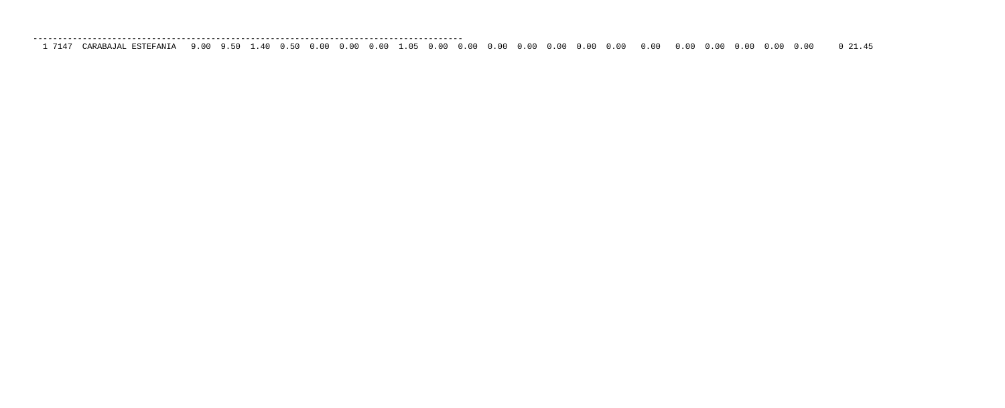| ___          |                                                                   |               |                  |     |         |                 |       |    |  |  |
|--------------|-------------------------------------------------------------------|---------------|------------------|-----|---------|-----------------|-------|----|--|--|
| $\mathbf{r}$ | …om⊤<br>AN<br>' Д <sub>і</sub><br>H.S<br>$\overline{\phantom{a}}$ | n n<br>◡<br>. | 5C<br><u>. J</u> | 40. | 50<br>. | 00 <sup>o</sup> | . O C | 00 |  |  |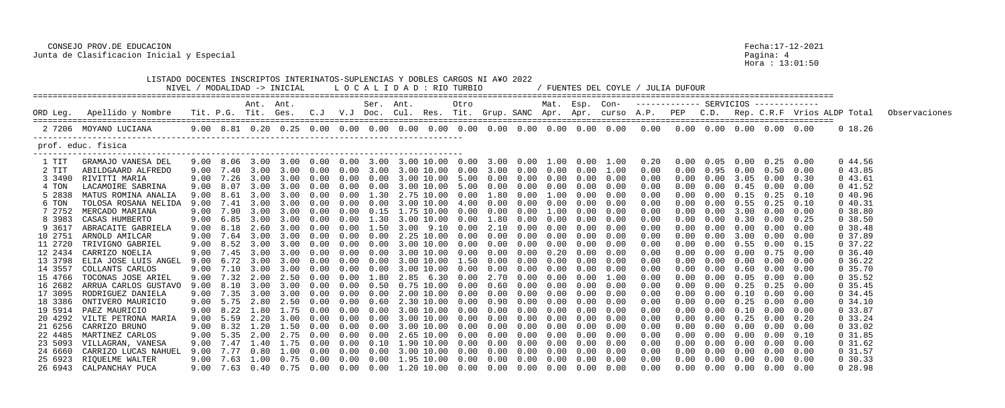## CONSEJO PROV.DE EDUCACION Fecha:17-12-2021 Junta de Clasificacion Inicial y Especial Pagina: 4

|          | LISTADO DOCENTES INSCRIPTOS INTERINATOS-SUPLENCIAS Y DOBLES CARGOS NI A¥O 2022 |      |           |           | NIVEL / MODALIDAD -> INICIAL                                                                              |          |            | LOCALIDAD : RIO TURBIO<br>================================== |            |               |        |      |                             |      |      |                                                                      | FUENTES DEL COYLE / JULIA DUFOUR                                                       |            |                   |      |                                         |      |                                  |               |
|----------|--------------------------------------------------------------------------------|------|-----------|-----------|-----------------------------------------------------------------------------------------------------------|----------|------------|--------------------------------------------------------------|------------|---------------|--------|------|-----------------------------|------|------|----------------------------------------------------------------------|----------------------------------------------------------------------------------------|------------|-------------------|------|-----------------------------------------|------|----------------------------------|---------------|
|          |                                                                                |      |           | Ant. Ant. |                                                                                                           |          |            | Ser. Ant.                                                    |            |               | Otro   |      |                             |      |      |                                                                      | Mat. Esp. Con- ------------ SERVICIOS ------------                                     |            |                   |      |                                         |      |                                  |               |
| ORD Leg. | Apellido y Nombre                                                              |      |           |           |                                                                                                           |          |            |                                                              |            |               |        |      |                             |      |      |                                                                      | Tit. P.G. Tit. Ges.  C.J  V.J Doc. Cul. Res. Tit. Grup. SANC Apr. Apr. curso A.P.  PEP |            |                   |      |                                         |      | C.D. Rep. C.R.F Vrios ALDP Total | Observaciones |
|          | 2 7206 MOYANO LUCIANA                                                          |      |           |           |                                                                                                           |          |            |                                                              |            |               |        |      |                             |      |      |                                                                      |                                                                                        |            |                   |      |                                         |      | 0 18.26                          |               |
|          | prof. educ. fisica                                                             |      |           |           |                                                                                                           |          |            |                                                              |            |               |        |      |                             |      |      |                                                                      |                                                                                        |            |                   |      |                                         |      |                                  |               |
| 1 TIT    | GRAMAJO VANESA DEL                                                             |      | 9.00 8.06 | 3.00      | 3.00 0.00                                                                                                 |          | $0\,.\,00$ |                                                              |            |               |        |      |                             |      |      | 3.00 3.00 10.00 0.00 3.00 0.00 1.00 0.00 1.00                        | $0\,.20$                                                                               | 0.00       |                   | 0.00 | $0.25$ 0.00                             |      | 0 44.56                          |               |
| 2 TIT    | ABILDGAARD ALFREDO                                                             | 9.00 | 7.40      | 3.00      | 3.00                                                                                                      | 0.00     | 0.00       | 3.00                                                         | 3.00 10.00 |               | 0.00   | 3.00 | 0.00                        | 0.00 | 0.00 | 1.00                                                                 | 0.00                                                                                   |            | 0.95              | 0.00 | 0.50                                    | 0.00 | 043.85                           |               |
| 3 3490   | RIVITTI MARIA                                                                  | 9.00 | 7.26      |           | 3.00 3.00 0.00                                                                                            |          | 0.00       | 0.00                                                         |            |               |        |      | $3.00$ 10.00 5.00 0.00 0.00 |      |      | $0.00 \t 0.00 \t 0.00$                                               | 0.00                                                                                   |            | 0.00              | 3.05 | $0.00 \quad 0.30$                       |      | 043.61                           |               |
| 4 TON    | LACAMOIRE SABRINA                                                              | 9.00 | 8.07      | 3.00      |                                                                                                           | 0.00     | 0.00       |                                                              |            | 3.00 10.00    | 5.00   | 0.00 | 0.00                        | 0.00 | 0.00 | 0.00                                                                 | 0.00                                                                                   |            | 0.00              | 0.45 | 0.00                                    | 0.00 | 041.52                           |               |
| 5 2838   | MATUS ROMINA ANALIA                                                            | 9.00 | 8.61      |           |                                                                                                           |          |            | 1.30                                                         |            | 2.75 10.00    | 0.00   | 1.80 | 0.00                        | 1.00 | 0.00 | 0.00                                                                 | 0.00                                                                                   |            | 0.00              | 0.15 | 0.25                                    | 0.10 | 040.96                           |               |
| 6 TON    | TOLOSA ROSANA NELIDA                                                           | 9.00 |           |           |                                                                                                           | 0.00     | 0.00       | 0.00                                                         |            | 3.00 10.00    | 4.00   | 0.00 | 0.00                        | 0.00 |      | 0.00                                                                 | 0.00                                                                                   |            | 0.00              | 0.55 | 0.25                                    | 0.10 | 040.31                           |               |
| 7 2752   | MERCADO MARIANA                                                                |      | 7.90      | 3.00      |                                                                                                           | (0.00)   | 0.00       | 0.15                                                         |            | $.75$ $10.00$ | (0.00) | 0.00 | 0.00                        | 1.00 | 0.00 | 0.00                                                                 | 0.00                                                                                   |            | 0.00              | 3.00 | 0.00                                    | 0.00 | 0.38.80                          |               |
| 8 3983   | CASAS HUMBERTO                                                                 | 9.00 | 6.85      |           |                                                                                                           | 0.00     |            | 1.30                                                         |            | 3.00 10.00    | 0.00   | 1.80 | 0.00                        | 0.00 | 0.00 | 0.00                                                                 | 0.00                                                                                   |            | 0.00              | 0.30 | 0.00                                    | 0.25 | 0.38.50                          |               |
| 9 3617   | ABRACAITE GABRIELA                                                             | 9.00 | 8.18      |           |                                                                                                           | 0.00     |            | 1.50                                                         | 3.00 9.10  |               | 0.00   |      | 0.00                        | 0.00 |      | 0.00                                                                 | 0.00                                                                                   |            | 0.00              | 0.00 | $0.00 \quad 0.00$                       |      | 0.38.48                          |               |
| 10 2751  | ARNOLD AMILCAR                                                                 | 9.00 |           |           |                                                                                                           | (1.00)   |            |                                                              |            | 2.25 10.00    | (1.00) | 0.00 | 0.00                        | 0.00 | 0.00 | 0.00                                                                 | 0.00                                                                                   |            | 0.00              |      | 0.00                                    | 0.00 | 0 37.89                          |               |
| 11 2720  | TRIVIGNO GABRIEL                                                               | 9.00 | 8.52      | 3.00      |                                                                                                           | 0.00     |            |                                                              |            | 3.00 10.00    | 0.00   | 0.00 | 0.00                        |      | 0.00 | 0.00                                                                 | 0.00                                                                                   |            | 0.00              | 0.55 | 0.00                                    | 0.15 | $0\,37.22$                       |               |
| 12 2434  | CARRIZO NOELIA                                                                 | 9.00 | 7.45      | 3.00      | $\sim$ 3 00                                                                                               | 0.00     |            |                                                              |            | 3.00 10.00    | 0.00   | 0.00 | 0.00                        | 0.20 | 0.00 | 0.00                                                                 | 0.00                                                                                   |            | 0.00              | 0.00 | $0.75$ 0.00                             |      | 0, 36.40                         |               |
| 13 3798  | ELIA JOSE LUIS ANGEL                                                           | 9.00 |           |           |                                                                                                           | $(1)$ () |            |                                                              |            | 3.00 10.00    | 1.50   |      | 0.00                        | 0.00 | 0.00 | 0.00                                                                 | 0.00                                                                                   |            | - വ               |      | 0.00                                    | 0.00 | $0\,36.22$                       |               |
| 14 3557  | COLLANTS CARLOS                                                                | 9.00 | 7.10      | 3.00      |                                                                                                           | 0.00     |            |                                                              |            | 3.00 10.00    | 0.00   | 0.00 | 0.00                        |      | 0.00 | 0.00                                                                 | 0.00                                                                                   |            | 0.00              | 0.60 | 0.00                                    | 0.00 | 0, 35.70                         |               |
| 15 4766  | TOCONAS JOSE ARIEL                                                             | 9.00 | 7.32      | 2.00      | 2.50                                                                                                      | 0.00     | 0.00       | 1.80                                                         |            | 2.85 6.30     | 0.00   | 2.70 | 0.00                        | 0.00 | 0.00 | 1.00                                                                 | 0.00                                                                                   |            | 0.00              | 0.05 | $0.00 \quad 0.00$                       |      | 0, 35.52                         |               |
| 16 2682  | ARRUA CARLOS GUSTAVO                                                           | 9.00 |           |           |                                                                                                           | (10)     |            | (1.50)                                                       | .75        | 10.00         | (1.00) | 0.60 | 0.00                        | 0.00 | 0.00 | 0.00                                                                 | 0.00                                                                                   |            | 0.00              |      | 0.25                                    | 0.00 | $0\,35.45$                       |               |
| 17 3095  | RODRIGUEZ DANIELA                                                              | 9.00 | 7.35      |           | 3.00                                                                                                      |          |            |                                                              |            | 2.00 10.00    | (0.00) | 0.00 | 0.00                        |      | 0.00 | 0.00                                                                 | 0.00                                                                                   |            | 0.00              |      | 0.00                                    | 0.00 | $0\,34.45$                       |               |
|          | 18 3386 ONTIVERO MAURICIO                                                      |      | 9.00 5.75 |           | 2.80 2.50                                                                                                 | 0.00     | 0.00       | 0.60                                                         |            | 2.30 10.00    | 0.00   |      | $0.90\quad 0.00$            | 0.00 |      | $0.00 \quad 0.00$                                                    | 0.00                                                                                   |            | $0.00 \quad 0.25$ |      | $0.00 \quad 0.00$                       |      | 0, 34.10                         |               |
| 19 5914  | PAEZ MAURICIO                                                                  |      |           |           |                                                                                                           |          |            |                                                              |            |               |        |      |                             |      |      |                                                                      | 0.00                                                                                   |            | $0.00$ $0.10$     |      | $0.00 \quad 0.00$                       |      | 0, 33.87                         |               |
| 20 4292  | VILTE PETRONA MARIA                                                            |      |           |           | 9.00 5.59 2.20 3.00 0.00                                                                                  |          |            |                                                              |            |               |        |      |                             |      |      | $0.00$ $0.00$ 3.00 $10.00$ $0.00$ $0.00$ $0.00$ $0.00$ $0.00$ $0.00$ | 0.00                                                                                   | 0.00       |                   |      | $0.00 \quad 0.25 \quad 0.00$            | 0.20 | $0\,33.24$                       |               |
|          | 21 6256 CARRIZO BRUNO                                                          |      |           |           |                                                                                                           |          |            |                                                              |            |               |        |      |                             |      |      |                                                                      | 0.00                                                                                   |            |                   |      | $0.00$ $0.00$ $0.00$ $0.00$ $0.00$      |      | 0, 33.02                         |               |
| 22 4485  | MARTINEZ CARLOS                                                                |      |           |           | 9.00 5.35 2.00 2.75 0.00 0.00 0.00 2.65 10.00 0.00 0.00 0.00 0.00 0.00 0.00                               |          |            |                                                              |            |               |        |      |                             |      |      |                                                                      | 0.00                                                                                   | 0.00       |                   |      | $0.00$ $0.00$ $0.00$ $0.10$             |      | $0\,31.85$                       |               |
| 23 5093  | VILLAGRAN, VANESA                                                              |      |           |           | $9.00$ $7.47$ $1.40$ $1.75$ $0.00$ $0.00$ $0.10$ $1.90$ $10.00$ $0.00$ $0.00$ $0.00$ $0.00$ $0.00$ $0.00$ |          |            |                                                              |            |               |        |      |                             |      |      |                                                                      | 0.00                                                                                   | 0.00       | $0.00 \quad 0.00$ |      | $0.00 \quad 0.00$                       |      | $0\,31.62$                       |               |
| 24 6660  | CARRIZO LUCAS NAHUEL                                                           |      |           |           |                                                                                                           |          |            |                                                              |            |               |        |      |                             |      |      |                                                                      | 0.00                                                                                   | $0\,.\,00$ |                   |      | $0.00 \quad 0.00 \quad 0.00 \quad 0.00$ |      | $0\quad 31.57$                   |               |
| 25 6923  | RIQUELME WALTER                                                                |      |           |           | $9.00$ 7.63 1.00 0.75 0.00 0.00 0.00 1.95 10.00 0.00 0.00 0.00 0.00 0.00 0.00                             |          |            |                                                              |            |               |        |      |                             |      |      |                                                                      | 0.00                                                                                   | $0\,.\,00$ |                   |      | $0.00 \quad 0.00 \quad 0.00 \quad 0.00$ |      | $0\,30.33$                       |               |
|          | 26 6943 CALPANCHAY PUCA                                                        |      |           |           |                                                                                                           |          |            |                                                              |            |               |        |      |                             |      |      |                                                                      | 0.00                                                                                   |            |                   |      | $0.00$ $0.00$ $0.00$ $0.00$ $0.00$      |      | $0\ 28.98$                       |               |

Pagina: 4<br>Hora : 13:01:50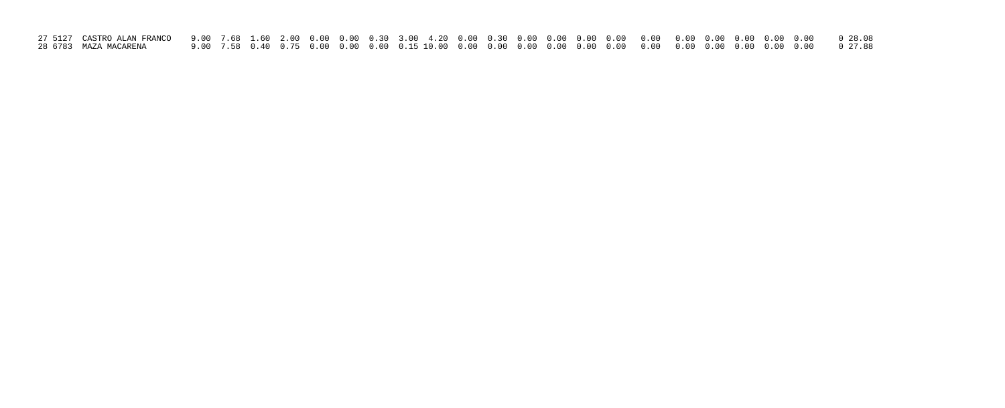| 28 6783  MAZA MACARENA |  |  |  |  |  |  |  |  |  |  |  |  |
|------------------------|--|--|--|--|--|--|--|--|--|--|--|--|